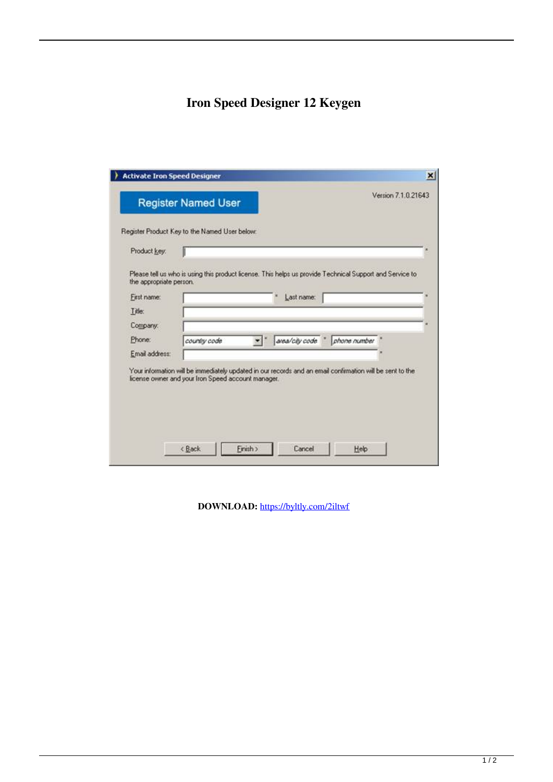## **Iron Speed Designer 12 Keygen**

| <b>Register Named User</b> |                                                                                                           |                |              | Version 7.1.0.21643 |
|----------------------------|-----------------------------------------------------------------------------------------------------------|----------------|--------------|---------------------|
|                            | Register Product Key to the Named User below:                                                             |                |              |                     |
| Product key:               |                                                                                                           |                |              |                     |
|                            |                                                                                                           |                |              |                     |
| the appropriate person.    | Please tell us who is using this product license. This helps us provide Technical Support and Service to  |                |              |                     |
| First name:                |                                                                                                           | Last name:     |              |                     |
| Title:                     |                                                                                                           |                |              |                     |
| Company:                   |                                                                                                           |                |              |                     |
| Phone:                     | country code                                                                                              | area/city code | phone number |                     |
| Email address:             |                                                                                                           |                |              |                     |
|                            | Your information will be immediately updated in our records and an email confirmation will be sent to the |                |              |                     |
|                            | license owner and your Iron Speed account manager.                                                        |                |              |                     |
|                            |                                                                                                           |                |              |                     |
|                            |                                                                                                           |                |              |                     |
|                            |                                                                                                           |                |              |                     |

DOWNLOAD: https://byltly.com/2iltwf